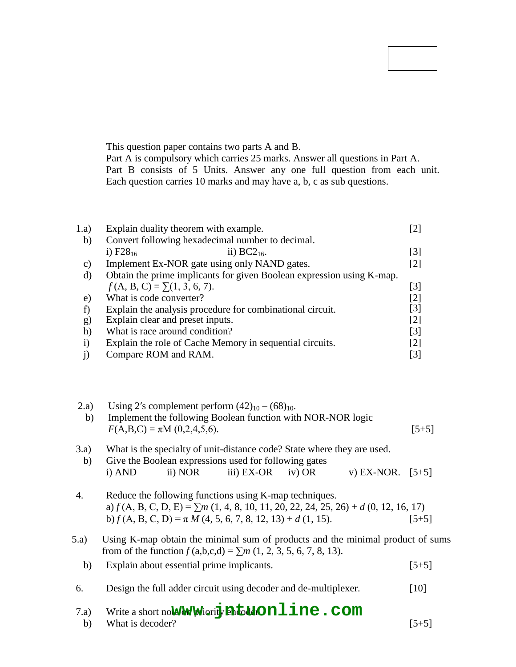# **B.Tech II Year I Semester Examinations, November/December - 2016 DIGITAL LOGIC DESIGN (Computer Science and Engineering) R15 Code No: 123CT JAWAHARLAL NEHRU TECHNOLOGICAL UNIVERSITY HYDERABAD**

### **Time: 3 Hours Max. Marks: 75**

**Note:** This question paper contains two parts A and B. Part A is compulsory which carries 25 marks. Answer all questions in Part A. Part B consists of 5 Units. Answer any one full question from each unit. Each question carries 10 marks and may have a, b, c as sub questions.

# **PART- A**

|                 |                                                                       | $(25$ Marks)      |  |  |  |
|-----------------|-----------------------------------------------------------------------|-------------------|--|--|--|
| 1.a)            | Explain duality theorem with example.                                 | [2]               |  |  |  |
| b)              | Convert following hexadecimal number to decimal.                      |                   |  |  |  |
|                 | i) $F28_{16}$<br>ii) $BC2_{16}$ .                                     | [3]               |  |  |  |
| $\mathcal{C}$ ) | Implement Ex-NOR gate using only NAND gates.                          | [2]               |  |  |  |
| d)              | Obtain the prime implicants for given Boolean expression using K-map. |                   |  |  |  |
|                 | $f(A, B, C) = \sum (1, 3, 6, 7).$                                     | [3]               |  |  |  |
| e)              | What is code converter?                                               | [2]               |  |  |  |
|                 | Explain the analysis procedure for combinational circuit.             | [3]               |  |  |  |
| g)              | Explain clear and preset inputs.                                      | $\lceil 2 \rceil$ |  |  |  |
| h)              | What is race around condition?                                        | [3]               |  |  |  |
| $\mathbf{i}$    | Explain the role of Cache Memory in sequential circuits.              | [2]               |  |  |  |
|                 | Compare ROM and RAM.                                                  | [3]               |  |  |  |

### **PART-B**

2.a) Using 2's complement perform  $(42)_{10} - (68)_{10}$ . b) Implement the following Boolean function with NOR-NOR logic  $F(A, B, C) = \pi M (0, 2, 4, 5, 6).$  [5+5] **OR** 3.a) What is the specialty of unit-distance code? State where they are used.

|        |         | Give the Boolean expressions used for following gates |                    |  |
|--------|---------|-------------------------------------------------------|--------------------|--|
| i) AND | ii) NOR | iii) $EX-OR$ iv) $OR$                                 | v) EX-NOR. $[5+5]$ |  |

- 4. Reduce the following functions using K-map techniques. a) *f* (A, B, C, D, E) = ∑*m* (1, 4, 8, 10, 11, 20, 22, 24, 25, 26) + *d* (0, 12, 16, 17) b)  $f(A, B, C, D) = \pi M (4, 5, 6, 7, 8, 12, 13) + d (1, 15).$  [5+5]
- **OR** 5.a) Using K-map obtain the minimal sum of products and the minimal product of sums from of the function  $f(a,b,c,d) = \sum m (1, 2, 3, 5, 6, 7, 8, 13).$ 
	- b) Explain about essential prime implicants. [5+5]
	- 6. Design the full adder circuit using decoder and de-multiplexer. [10]
		- **OR**
	- 7.a) Write a short note of  $\mathbf w$  or  $\mathbf y$  arify  $\mathbf m$  **with**  $\mathbf w$   $\mathbf m$  **l** ine .  $\mathbf c$  om b) What is decoder?  $[5+5]$

**(50 Marks)**